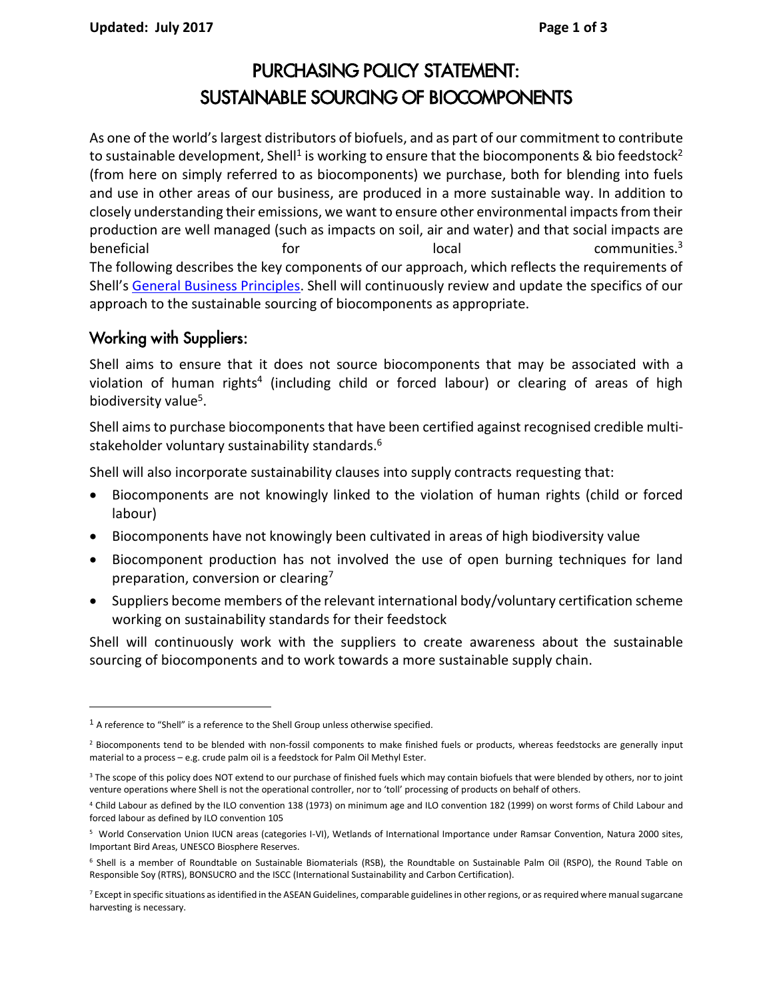# PURCHASING POLICY STATEMENT: SUSTAINABLE SOURCING OF BIOCOMPONENTS

As one of the world's largest distributors of biofuels, and as part of our commitment to contribute to sustainable development, Shell<sup>1</sup> is working to ensure that the biocomponents & bio feedstock<sup>2</sup> (from here on simply referred to as biocomponents) we purchase, both for blending into fuels and use in other areas of our business, are produced in a more sustainable way. In addition to closely understanding their emissions, we want to ensure other environmental impacts from their production are well managed (such as impacts on soil, air and water) and that social impacts are beneficial  $\qquad \qquad \text{for} \qquad \qquad \text{local} \qquad \qquad \text{communities.}^3$ The following describes the key components of our approach, which reflects the requirements of Shell's [General Business Principles.](http://www.shell.com/home/content/aboutshell/who_we_are/our_values/sgbp/) Shell will continuously review and update the specifics of our approach to the sustainable sourcing of biocomponents as appropriate.

## Working with Suppliers:

 $\overline{a}$ 

Shell aims to ensure that it does not source biocomponents that may be associated with a violation of human rights<sup>4</sup> (including child or forced labour) or clearing of areas of high biodiversity value<sup>5</sup>.

Shell aims to purchase biocomponents that have been certified against recognised credible multistakeholder voluntary sustainability standards.<sup>6</sup>

Shell will also incorporate sustainability clauses into supply contracts requesting that:

- Biocomponents are not knowingly linked to the violation of human rights (child or forced labour)
- Biocomponents have not knowingly been cultivated in areas of high biodiversity value
- Biocomponent production has not involved the use of open burning techniques for land preparation, conversion or clearing<sup>7</sup>
- Suppliers become members of the relevant international body/voluntary certification scheme working on sustainability standards for their feedstock

Shell will continuously work with the suppliers to create awareness about the sustainable sourcing of biocomponents and to work towards a more sustainable supply chain.

<sup>&</sup>lt;sup>1</sup> A reference to "Shell" is a reference to the Shell Group unless otherwise specified.

<sup>&</sup>lt;sup>2</sup> Biocomponents tend to be blended with non-fossil components to make finished fuels or products, whereas feedstocks are generally input material to a process – e.g. crude palm oil is a feedstock for Palm Oil Methyl Ester.

<sup>&</sup>lt;sup>3</sup> The scope of this policy does NOT extend to our purchase of finished fuels which may contain biofuels that were blended by others, nor to joint venture operations where Shell is not the operational controller, nor to 'toll' processing of products on behalf of others.

<sup>4</sup> Child Labour as defined by the ILO convention 138 (1973) on minimum age and ILO convention 182 (1999) on worst forms of Child Labour and forced labour as defined by ILO convention 105

<sup>5</sup> World Conservation Union IUCN areas (categories I-VI), Wetlands of International Importance under Ramsar Convention, Natura 2000 sites, Important Bird Areas, UNESCO Biosphere Reserves.

<sup>&</sup>lt;sup>6</sup> Shell is a member of Roundtable on Sustainable Biomaterials (RSB), the Roundtable on Sustainable Palm Oil (RSPO), the Round Table on Responsible Soy (RTRS), BONSUCRO and the ISCC (International Sustainability and Carbon Certification).

<sup>&</sup>lt;sup>7</sup> Except in specific situations as identified in the ASEAN Guidelines, comparable guidelines in other regions, or as required where manual sugarcane harvesting is necessary.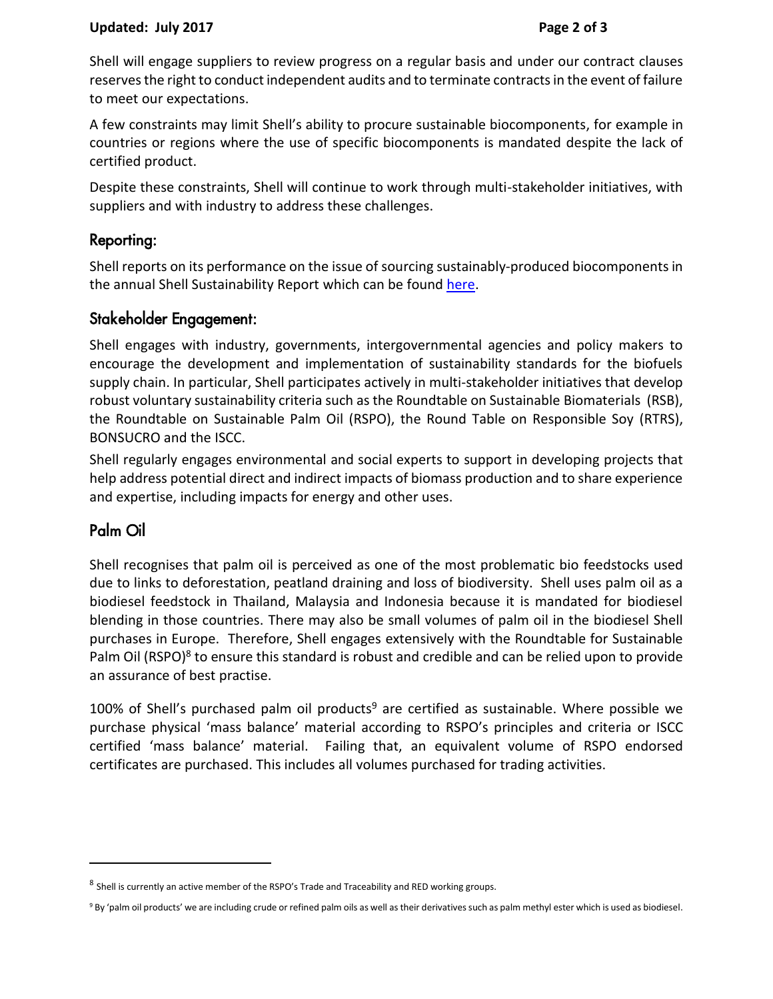#### **Updated: July 2017 Page 2 of 3**

Shell will engage suppliers to review progress on a regular basis and under our contract clauses reserves the right to conduct independent audits and to terminate contracts in the event of failure to meet our expectations.

A few constraints may limit Shell's ability to procure sustainable biocomponents, for example in countries or regions where the use of specific biocomponents is mandated despite the lack of certified product.

Despite these constraints, Shell will continue to work through multi-stakeholder initiatives, with suppliers and with industry to address these challenges.

#### Reporting:

Shell reports on its performance on the issue of sourcing sustainably-produced biocomponents in the annual Shell Sustainability Report which can be found [here.](http://www.shell.com/global/aboutshell/investor/financial-information/annual-reports-and-publications.html)

## Stakeholder Engagement:

Shell engages with industry, governments, intergovernmental agencies and policy makers to encourage the development and implementation of sustainability standards for the biofuels supply chain. In particular, Shell participates actively in multi-stakeholder initiatives that develop robust voluntary sustainability criteria such as the Roundtable on Sustainable Biomaterials (RSB), the Roundtable on Sustainable Palm Oil (RSPO), the Round Table on Responsible Soy (RTRS), BONSUCRO and the ISCC.

Shell regularly engages environmental and social experts to support in developing projects that help address potential direct and indirect impacts of biomass production and to share experience and expertise, including impacts for energy and other uses.

# Palm Oil

 $\overline{a}$ 

Shell recognises that palm oil is perceived as one of the most problematic bio feedstocks used due to links to deforestation, peatland draining and loss of biodiversity. Shell uses palm oil as a biodiesel feedstock in Thailand, Malaysia and Indonesia because it is mandated for biodiesel blending in those countries. There may also be small volumes of palm oil in the biodiesel Shell purchases in Europe. Therefore, Shell engages extensively with the Roundtable for Sustainable Palm Oil (RSPO)<sup>8</sup> to ensure this standard is robust and credible and can be relied upon to provide an assurance of best practise.

100% of Shell's purchased palm oil products<sup>9</sup> are certified as sustainable. Where possible we purchase physical 'mass balance' material according to RSPO's principles and criteria or ISCC certified 'mass balance' material. Failing that, an equivalent volume of RSPO endorsed certificates are purchased. This includes all volumes purchased for trading activities.

<sup>&</sup>lt;sup>8</sup> Shell is currently an active member of the RSPO's Trade and Traceability and RED working groups.

<sup>9</sup> By 'palm oil products' we are including crude or refined palm oils as well as their derivatives such as palm methyl ester which is used as biodiesel.